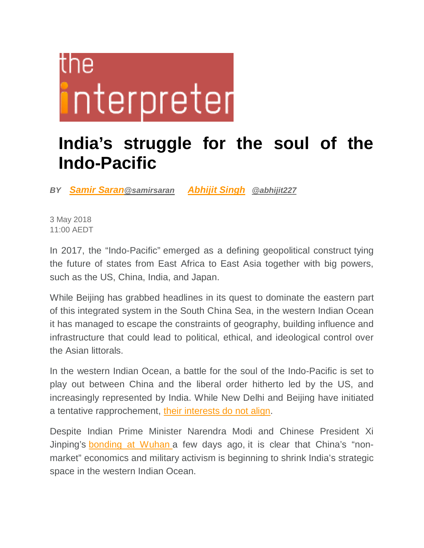## TNA interpreter

## **India's struggle for the soul of the Indo-Pacific**

*BY Samir Saran@samirsaran Abhijit Singh @abhijit227*

3 May 2018 11:00 AEDT

In 2017, the "Indo-Pacific" emerged as a defining geopolitical construct tying the future of states from East Africa to East Asia together with big powers, such as the US, China, India, and Japan.

While Beijing has grabbed headlines in its quest to dominate the eastern part of this integrated system in the South China Sea, in the western Indian Ocean it has managed to escape the constraints of geography, building influence and infrastructure that could lead to political, ethical, and ideological control over the Asian littorals.

In the western Indian Ocean, a battle for the soul of the Indo-Pacific is set to play out between China and the liberal order hitherto led by the US, and increasingly represented by India. While New Delhi and Beijing have initiated a tentative rapprochement, their interests do not align.

Despite Indian Prime Minister Narendra Modi and Chinese President Xi Jinping's bonding at Wuhan a few days ago, it is clear that China's "nonmarket" economics and military activism is beginning to shrink India's strategic space in the western Indian Ocean.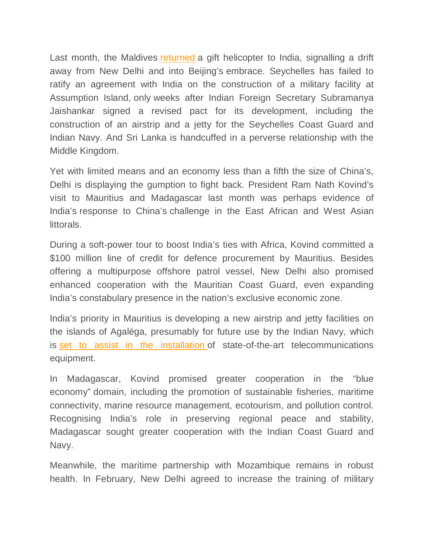Last month, the Maldives returned a gift helicopter to India, signalling a drift away from New Delhi and into Beijing's embrace. Seychelles has failed to ratify an agreement with India on the construction of a military facility at Assumption Island, only weeks after Indian Foreign Secretary Subramanya Jaishankar signed a revised pact for its development, including the construction of an airstrip and a jetty for the Seychelles Coast Guard and Indian Navy. And Sri Lanka is handcuffed in a perverse relationship with the Middle Kingdom.

Yet with limited means and an economy less than a fifth the size of China's, Delhi is displaying the gumption to fight back. President Ram Nath Kovind's visit to Mauritius and Madagascar last month was perhaps evidence of India's response to China's challenge in the East African and West Asian littorals.

During a soft-power tour to boost India's ties with Africa, Kovind committed a \$100 million line of credit for defence procurement by Mauritius. Besides offering a multipurpose offshore patrol vessel, New Delhi also promised enhanced cooperation with the Mauritian Coast Guard, even expanding India's constabulary presence in the nation's exclusive economic zone.

India's priority in Mauritius is developing a new airstrip and jetty facilities on the islands of Agaléga, presumably for future use by the Indian Navy, which is set to assist in the installation of state-of-the-art telecommunications equipment.

In Madagascar, Kovind promised greater cooperation in the "blue economy" domain, including the promotion of sustainable fisheries, maritime connectivity, marine resource management, ecotourism, and pollution control. Recognising India's role in preserving regional peace and stability, Madagascar sought greater cooperation with the Indian Coast Guard and Navy.

Meanwhile, the maritime partnership with Mozambique remains in robust health. In February, New Delhi agreed to increase the training of military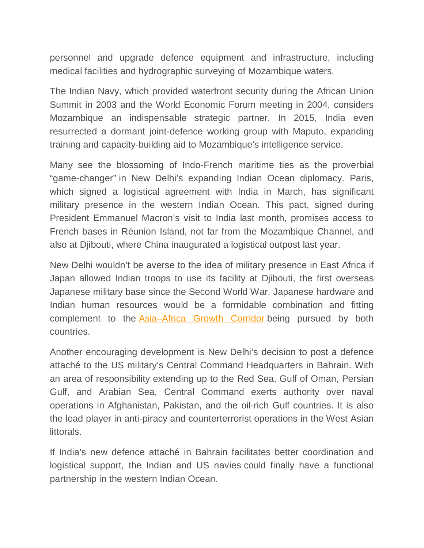personnel and upgrade defence equipment and infrastructure, including medical facilities and hydrographic surveying of Mozambique waters.

The Indian Navy, which provided waterfront security during the African Union Summit in 2003 and the World Economic Forum meeting in 2004, considers Mozambique an indispensable strategic partner. In 2015, India even resurrected a dormant joint-defence working group with Maputo, expanding training and capacity-building aid to Mozambique's intelligence service.

Many see the blossoming of Indo-French maritime ties as the proverbial "game-changer" in New Delhi's expanding Indian Ocean diplomacy. Paris, which signed a logistical agreement with India in March, has significant military presence in the western Indian Ocean. This pact, signed during President Emmanuel Macron's visit to India last month, promises access to French bases in Réunion Island, not far from the Mozambique Channel, and also at Djibouti, where China inaugurated a logistical outpost last year.

New Delhi wouldn't be averse to the idea of military presence in East Africa if Japan allowed Indian troops to use its facility at Djibouti, the first overseas Japanese military base since the Second World War. Japanese hardware and Indian human resources would be a formidable combination and fitting complement to the Asia–Africa Growth Corridor being pursued by both countries.

Another encouraging development is New Delhi's decision to post a defence attaché to the US military's Central Command Headquarters in Bahrain. With an area of responsibility extending up to the Red Sea, Gulf of Oman, Persian Gulf, and Arabian Sea, Central Command exerts authority over naval operations in Afghanistan, Pakistan, and the oil-rich Gulf countries. It is also the lead player in anti-piracy and counterterrorist operations in the West Asian littorals.

If India's new defence attaché in Bahrain facilitates better coordination and logistical support, the Indian and US navies could finally have a functional partnership in the western Indian Ocean.